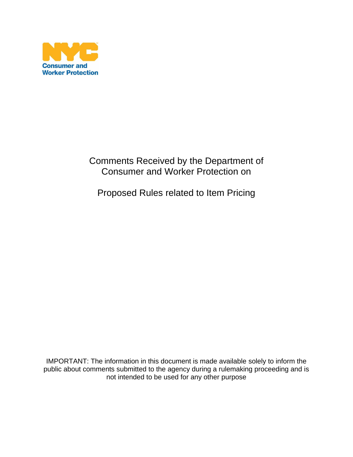

## Comments Received by the Department of Consumer and Worker Protection on

Proposed Rules related to Item Pricing

IMPORTANT: The information in this document is made available solely to inform the public about comments submitted to the agency during a rulemaking proceeding and is not intended to be used for any other purpose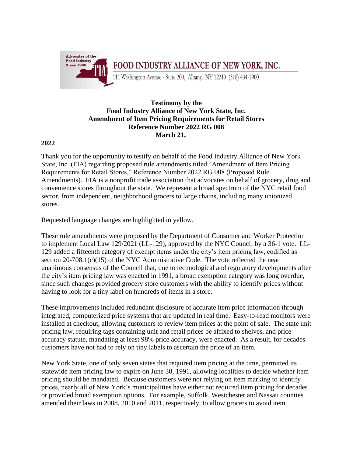

## **Testimony by the Food Industry Alliance of New York State, Inc. Amendment of Item Pricing Requirements for Retail Stores Reference Number 2022 RG 008 March 21,**

## **2022**

Thank you for the opportunity to testify on behalf of the Food Industry Alliance of New York State, Inc. (FIA) regarding proposed rule amendments titled "Amendment of Item Pricing Requirements for Retail Stores," Reference Number 2022 RG 008 (Proposed Rule Amendments). FIA is a nonprofit trade association that advocates on behalf of grocery, drug and convenience stores throughout the state. We represent a broad spectrum of the NYC retail food sector, from independent, neighborhood grocers to large chains, including many unionized stores.

Requested language changes are highlighted in yellow.

These rule amendments were proposed by the Department of Consumer and Worker Protection to implement Local Law 129/2021 (LL-129), approved by the NYC Council by a 36-1 vote. LL-129 added a fifteenth category of exempt items under the city's item pricing law, codified as section  $20-708.1(c)(15)$  of the NYC Administrative Code. The vote reflected the near unanimous consensus of the Council that, due to technological and regulatory developments after the city's item pricing law was enacted in 1991, a broad exemption category was long overdue, since such changes provided grocery store customers with the ability to identify prices without having to look for a tiny label on hundreds of items in a store.

These improvements included redundant disclosure of accurate item price information through integrated, computerized price systems that are updated in real time. Easy-to-read monitors were installed at checkout, allowing customers to review item prices at the point of sale. The state unit pricing law, requiring tags containing unit and retail prices be affixed to shelves, and price accuracy statute, mandating at least 98% price accuracy, were enacted. As a result, for decades customers have not had to rely on tiny labels to ascertain the price of an item.

New York State, one of only seven states that required item pricing at the time, permitted its statewide item pricing law to expire on June 30, 1991, allowing localities to decide whether item pricing should be mandated. Because customers were not relying on item marking to identify prices, nearly all of New York's municipalities have either not required item pricing for decades or provided broad exemption options. For example, Suffolk, Westchester and Nassau counties amended their laws in 2008, 2010 and 2011, respectively, to allow grocers to avoid item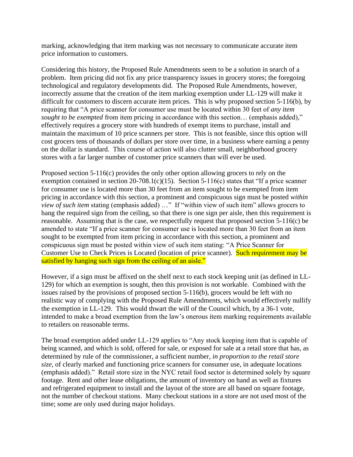marking, acknowledging that item marking was not necessary to communicate accurate item price information to customers.

Considering this history, the Proposed Rule Amendments seem to be a solution in search of a problem. Item pricing did not fix any price transparency issues in grocery stores; the foregoing technological and regulatory developments did. The Proposed Rule Amendments, however, incorrectly assume that the creation of the item marking exemption under LL-129 will make it difficult for customers to discern accurate item prices. This is why proposed section 5-116(b), by requiring that "A price scanner for consumer use must be located within 30 feet of *any item sought to be exempted* from item pricing in accordance with this section... (emphasis added)," effectively requires a grocery store with hundreds of exempt items to purchase, install and maintain the maximum of 10 price scanners per store. This is not feasible, since this option will cost grocers tens of thousands of dollars per store over time, in a business where earning a penny on the dollar is standard. This course of action will also clutter small, neighborhood grocery stores with a far larger number of customer price scanners than will ever be used.

Proposed section 5-116(c) provides the only other option allowing grocers to rely on the exemption contained in section  $20-708.1(c)(15)$ . Section 5-116(c) states that "If a price scanner for consumer use is located more than 30 feet from an item sought to be exempted from item pricing in accordance with this section, a prominent and conspicuous sign must be posted *within view of such item* stating (emphasis added) …" If "within view of such item" allows grocers to hang the required sign from the ceiling, so that there is one sign per aisle, then this requirement is reasonable. Assuming that is the case, we respectfully request that proposed section 5-116(c) be amended to state "If a price scanner for consumer use is located more than 30 feet from an item sought to be exempted from item pricing in accordance with this section, a prominent and conspicuous sign must be posted within view of such item stating: "A Price Scanner for Customer Use to Check Prices is Located (location of price scanner). Such requirement may be satisfied by hanging such sign from the ceiling of an aisle."

However, if a sign must be affixed on the shelf next to each stock keeping unit (as defined in LL-129) for which an exemption is sought, then this provision is not workable. Combined with the issues raised by the provisions of proposed section 5-116(b), grocers would be left with no realistic way of complying with the Proposed Rule Amendments, which would effectively nullify the exemption in LL-129. This would thwart the will of the Council which, by a 36-1 vote, intended to make a broad exemption from the law's onerous item marking requirements available to retailers on reasonable terms.

The broad exemption added under LL-129 applies to "Any stock keeping item that is capable of being scanned, and which is sold, offered for sale, or exposed for sale at a retail store that has, as determined by rule of the commissioner, a sufficient number, *in proportion to the retail store size*, of clearly marked and functioning price scanners for consumer use, in adequate locations (emphasis added)." Retail store size in the NYC retail food sector is determined solely by square footage. Rent and other lease obligations, the amount of inventory on hand as well as fixtures and refrigerated equipment to install and the layout of the store are all based on square footage, not the number of checkout stations. Many checkout stations in a store are not used most of the time; some are only used during major holidays.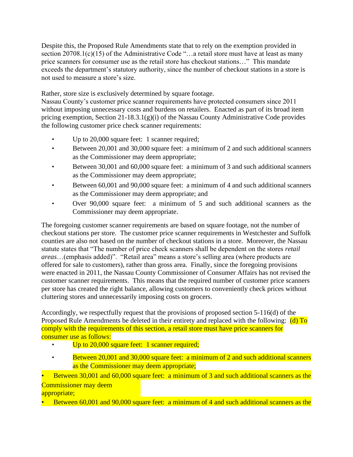Despite this, the Proposed Rule Amendments state that to rely on the exemption provided in section 20708.1(c)(15) of the Administrative Code "...a retail store must have at least as many price scanners for consumer use as the retail store has checkout stations…" This mandate exceeds the department's statutory authority, since the number of checkout stations in a store is not used to measure a store's size.

Rather, store size is exclusively determined by square footage.

Nassau County's customer price scanner requirements have protected consumers since 2011 without imposing unnecessary costs and burdens on retailers. Enacted as part of its broad item pricing exemption, Section 21-18.3.1(g)(i) of the Nassau County Administrative Code provides the following customer price check scanner requirements:

- Up to 20,000 square feet: 1 scanner required;
- Between 20,001 and 30,000 square feet: a minimum of 2 and such additional scanners as the Commissioner may deem appropriate;
- Between 30,001 and 60,000 square feet: a minimum of 3 and such additional scanners as the Commissioner may deem appropriate;
- Between 60,001 and 90,000 square feet: a minimum of 4 and such additional scanners as the Commissioner may deem appropriate; and
- Over 90,000 square feet: a minimum of 5 and such additional scanners as the Commissioner may deem appropriate.

The foregoing customer scanner requirements are based on square footage, not the number of checkout stations per store. The customer price scanner requirements in Westchester and Suffolk counties are also not based on the number of checkout stations in a store. Moreover, the Nassau statute states that "The number of price check scanners shall be dependent on the stores *retail areas*…(emphasis added)". "Retail area" means a store's selling area (where products are offered for sale to customers), rather than gross area. Finally, since the foregoing provisions were enacted in 2011, the Nassau County Commissioner of Consumer Affairs has not revised the customer scanner requirements. This means that the required number of customer price scanners per store has created the right balance, allowing customers to conveniently check prices without cluttering stores and unnecessarily imposing costs on grocers.

Accordingly, we respectfully request that the provisions of proposed section 5-116(d) of the Proposed Rule Amendments be deleted in their entirety and replaced with the following:  $(d)$  To comply with the requirements of this section, a retail store must have price scanners for consumer use as follows:

- Up to 20,000 square feet: 1 scanner required;
- Between 20,001 and 30,000 square feet: a minimum of 2 and such additional scanners as the Commissioner may deem appropriate;

• Between 30,001 and 60,000 square feet: a minimum of 3 and such additional scanners as the Commissioner may deem appropriate;

• Between 60,001 and 90,000 square feet: a minimum of 4 and such additional scanners as the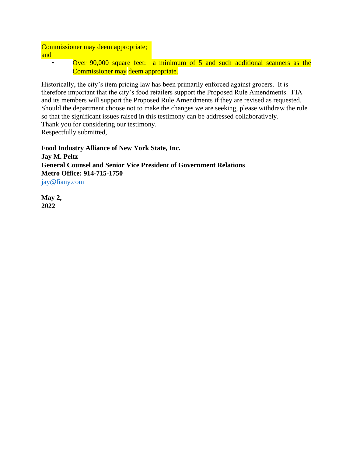Commissioner may deem appropriate; and

• Over 90,000 square feet: a minimum of 5 and such additional scanners as the Commissioner may deem appropriate.

Historically, the city's item pricing law has been primarily enforced against grocers. It is therefore important that the city's food retailers support the Proposed Rule Amendments. FIA and its members will support the Proposed Rule Amendments if they are revised as requested. Should the department choose not to make the changes we are seeking, please withdraw the rule so that the significant issues raised in this testimony can be addressed collaboratively. Thank you for considering our testimony.

Respectfully submitted,

**Food Industry Alliance of New York State, Inc. Jay M. Peltz General Counsel and Senior Vice President of Government Relations Metro Office: 914-715-1750**  jay@fiany.com

**May 2, 2022**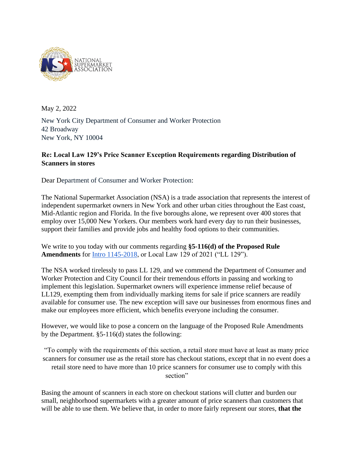

May 2, 2022

New York City Department of Consumer and Worker Protection 42 Broadway New York, NY 10004

## **Re: Local Law 129's Price Scanner Exception Requirements regarding Distribution of Scanners in stores**

Dear Department of Consumer and Worker Protection:

The National Supermarket Association (NSA) is a trade association that represents the interest of independent supermarket owners in New York and other urban cities throughout the East coast, Mid-Atlantic region and Florida. In the five boroughs alone, we represent over 400 stores that employ over 15,000 New Yorkers. Our members work hard every day to run their businesses, support their families and provide jobs and healthy food options to their communities.

We write to you today with our comments regarding **§5-116(d) of the Proposed Rule Amendments** for [Intro 1145-2018,](https://legistar.council.nyc.gov/LegislationDetail.aspx?ID=3704322&GUID=0226C596-0054-4329-99CD-49323058200D) or Local Law 129 of 2021 ("LL 129").

The NSA worked tirelessly to pass LL 129, and we commend the Department of Consumer and Worker Protection and City Council for their tremendous efforts in passing and working to implement this legislation. Supermarket owners will experience immense relief because of LL129, exempting them from individually marking items for sale if price scanners are readily available for consumer use. The new exception will save our businesses from enormous fines and make our employees more efficient, which benefits everyone including the consumer.

However, we would like to pose a concern on the language of the Proposed Rule Amendments by the Department. §5-116(d) states the following:

"To comply with the requirements of this section, a retail store must have at least as many price scanners for consumer use as the retail store has checkout stations, except that in no event does a retail store need to have more than 10 price scanners for consumer use to comply with this section"

Basing the amount of scanners in each store on checkout stations will clutter and burden our small, neighborhood supermarkets with a greater amount of price scanners than customers that will be able to use them. We believe that, in order to more fairly represent our stores, **that the**